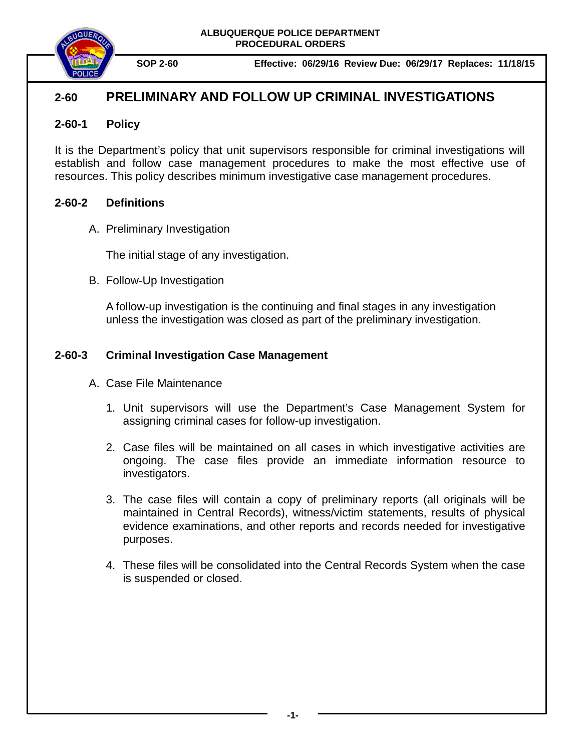**ALBUQUERQUE POLICE DEPARTMENT PROCEDURAL ORDERS**



**SOP 2-60 Effective: 06/29/16 Review Due: 06/29/17 Replaces: 11/18/15**

## **2-60 PRELIMINARY AND FOLLOW UP CRIMINAL INVESTIGATIONS**

### **2-60-1 Policy**

It is the Department's policy that unit supervisors responsible for criminal investigations will establish and follow case management procedures to make the most effective use of resources. This policy describes minimum investigative case management procedures.

### **2-60-2 Definitions**

A. Preliminary Investigation

The initial stage of any investigation.

B. Follow-Up Investigation

A follow-up investigation is the continuing and final stages in any investigation unless the investigation was closed as part of the preliminary investigation.

## **2-60-3 Criminal Investigation Case Management**

- A. Case File Maintenance
	- 1. Unit supervisors will use the Department's Case Management System for assigning criminal cases for follow-up investigation.
	- 2. Case files will be maintained on all cases in which investigative activities are ongoing. The case files provide an immediate information resource to investigators.
	- 3. The case files will contain a copy of preliminary reports (all originals will be maintained in Central Records), witness/victim statements, results of physical evidence examinations, and other reports and records needed for investigative purposes.
	- 4. These files will be consolidated into the Central Records System when the case is suspended or closed.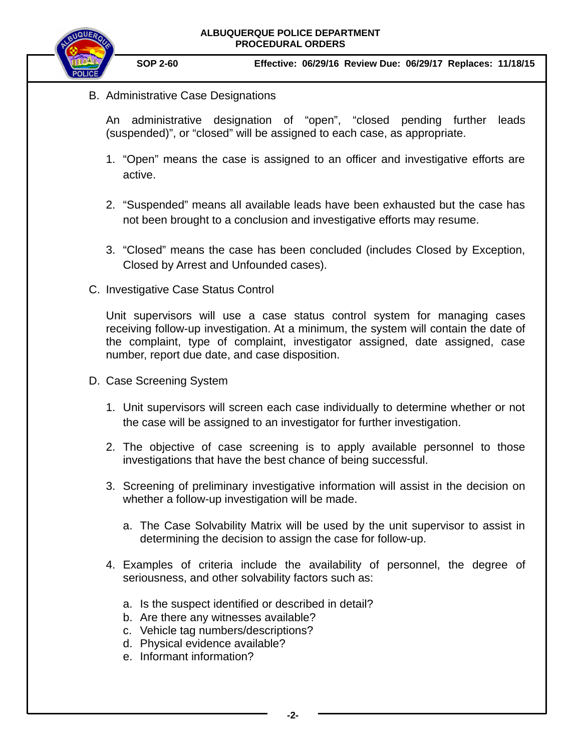

**SOP 2-60 Effective: 06/29/16 Review Due: 06/29/17 Replaces: 11/18/15**

B. Administrative Case Designations

An administrative designation of "open", "closed pending further leads (suspended)", or "closed" will be assigned to each case, as appropriate.

- 1. "Open" means the case is assigned to an officer and investigative efforts are active.
- 2. "Suspended" means all available leads have been exhausted but the case has not been brought to a conclusion and investigative efforts may resume.
- 3. "Closed" means the case has been concluded (includes Closed by Exception, Closed by Arrest and Unfounded cases).
- C. Investigative Case Status Control

Unit supervisors will use a case status control system for managing cases receiving follow-up investigation. At a minimum, the system will contain the date of the complaint, type of complaint, investigator assigned, date assigned, case number, report due date, and case disposition.

- D. Case Screening System
	- 1. Unit supervisors will screen each case individually to determine whether or not the case will be assigned to an investigator for further investigation.
	- 2. The objective of case screening is to apply available personnel to those investigations that have the best chance of being successful.
	- 3. Screening of preliminary investigative information will assist in the decision on whether a follow-up investigation will be made.
		- a. The Case Solvability Matrix will be used by the unit supervisor to assist in determining the decision to assign the case for follow-up.
	- 4. Examples of criteria include the availability of personnel, the degree of seriousness, and other solvability factors such as:
		- a. Is the suspect identified or described in detail?
		- b. Are there any witnesses available?
		- c. Vehicle tag numbers/descriptions?
		- d. Physical evidence available?
		- e. Informant information?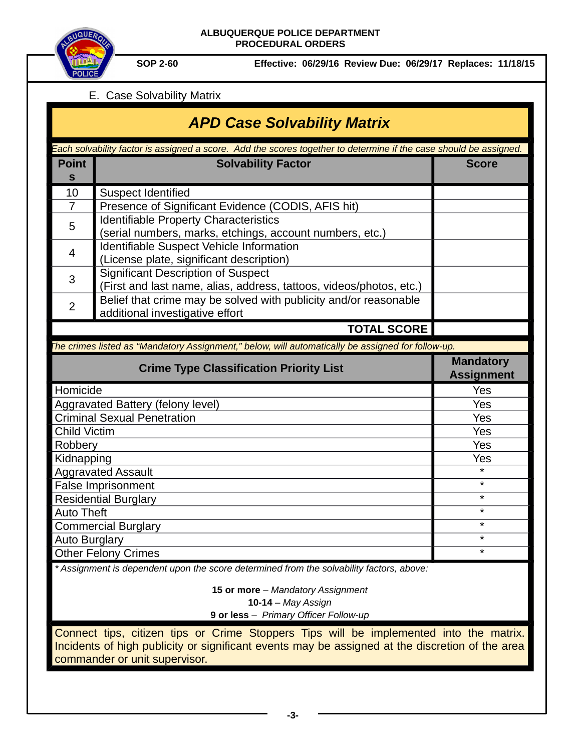



**SOP 2-60 Effective: 06/29/16 Review Due: 06/29/17 Replaces: 11/18/15**

### E. Case Solvability Matrix

# *APD Case Solvability Matrix*

| Each solvability factor is assigned a score. Add the scores together to determine if the case should be assigned. |                                                                                                                  |                                       |  |
|-------------------------------------------------------------------------------------------------------------------|------------------------------------------------------------------------------------------------------------------|---------------------------------------|--|
| <b>Point</b><br>$\mathbf S$                                                                                       | <b>Solvability Factor</b>                                                                                        | <b>Score</b>                          |  |
| 10                                                                                                                | <b>Suspect Identified</b>                                                                                        |                                       |  |
| $\overline{7}$                                                                                                    | Presence of Significant Evidence (CODIS, AFIS hit)                                                               |                                       |  |
| 5                                                                                                                 | <b>Identifiable Property Characteristics</b><br>(serial numbers, marks, etchings, account numbers, etc.)         |                                       |  |
| $\overline{4}$                                                                                                    | Identifiable Suspect Vehicle Information<br>(License plate, significant description)                             |                                       |  |
| 3                                                                                                                 | <b>Significant Description of Suspect</b><br>(First and last name, alias, address, tattoos, videos/photos, etc.) |                                       |  |
| $\overline{2}$                                                                                                    | Belief that crime may be solved with publicity and/or reasonable<br>additional investigative effort              |                                       |  |
|                                                                                                                   | <b>TOTAL SCORE</b>                                                                                               |                                       |  |
| The crimes listed as "Mandatory Assignment," below, will automatically be assigned for follow-up.                 |                                                                                                                  |                                       |  |
| <b>Crime Type Classification Priority List</b>                                                                    |                                                                                                                  |                                       |  |
|                                                                                                                   |                                                                                                                  | <b>Mandatory</b><br><b>Assignment</b> |  |
| Homicide                                                                                                          |                                                                                                                  | Yes                                   |  |
|                                                                                                                   | Aggravated Battery (felony level)                                                                                | Yes                                   |  |
|                                                                                                                   | <b>Criminal Sexual Penetration</b>                                                                               | Yes                                   |  |
| <b>Child Victim</b>                                                                                               |                                                                                                                  | Yes                                   |  |
| Robbery                                                                                                           |                                                                                                                  | Yes                                   |  |
| Kidnapping                                                                                                        |                                                                                                                  | <b>Yes</b>                            |  |
|                                                                                                                   | <b>Aggravated Assault</b>                                                                                        | $\star$                               |  |
|                                                                                                                   | False Imprisonment                                                                                               | $^\star$                              |  |
|                                                                                                                   | <b>Residential Burglary</b>                                                                                      | $\star$                               |  |
| <b>Auto Theft</b>                                                                                                 |                                                                                                                  | $\star$                               |  |
|                                                                                                                   | <b>Commercial Burglary</b>                                                                                       | $\star$                               |  |
| Auto Burglary                                                                                                     |                                                                                                                  | $\star$                               |  |
|                                                                                                                   | Other Felony Crimes<br>* Assignment is dependent upon the score determined from the solvability factors, above:  | $\star$                               |  |

**15 or more** – *Mandatory Assignment* **10-14** – *May Assign* **9 or less** – *Primary Officer Follow-up*

Connect tips, citizen tips or Crime Stoppers Tips will be implemented into the matrix. Incidents of high publicity or significant events may be assigned at the discretion of the area commander or unit supervisor.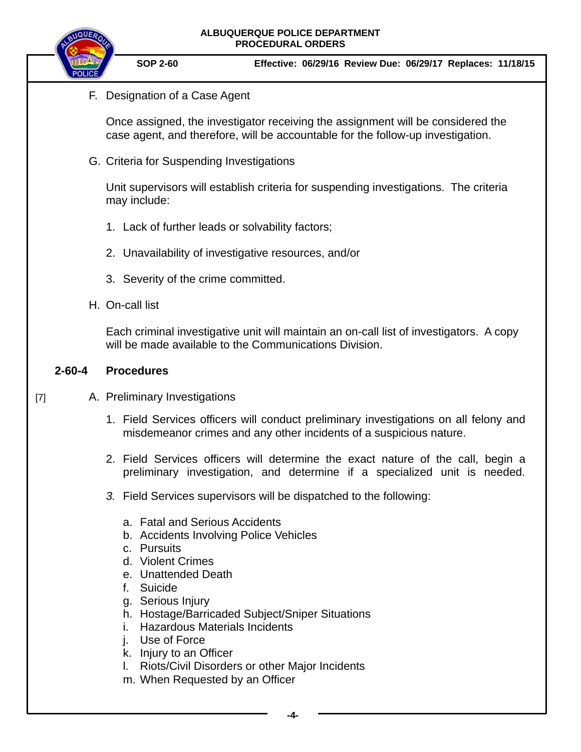| ALBUQUERQUE POLICE DEPARTMENT |  |
|-------------------------------|--|
| <b>PROCEDURAL ORDERS</b>      |  |



**SOP 2-60 Effective: 06/29/16 Review Due: 06/29/17 Replaces: 11/18/15**

F. Designation of a Case Agent

Once assigned, the investigator receiving the assignment will be considered the case agent, and therefore, will be accountable for the follow-up investigation.

G. Criteria for Suspending Investigations

Unit supervisors will establish criteria for suspending investigations. The criteria may include:

- 1. Lack of further leads or solvability factors;
- 2. Unavailability of investigative resources, and/or
- 3. Severity of the crime committed.
- H. On-call list

Each criminal investigative unit will maintain an on-call list of investigators. A copy will be made available to the Communications Division.

#### **2-60-4 Procedures**

- A. Preliminary Investigations [7]
	- 1. Field Services officers will conduct preliminary investigations on all felony and misdemeanor crimes and any other incidents of a suspicious nature.
	- 2. Field Services officers will determine the exact nature of the call, begin a preliminary investigation, and determine if a specialized unit is needed.
	- *3.* Field Services supervisors will be dispatched to the following:
		- a. Fatal and Serious Accidents
		- b. Accidents Involving Police Vehicles
		- c. Pursuits
		- d. Violent Crimes
		- e. Unattended Death
		- f. Suicide
		- g. Serious Injury
		- h. Hostage/Barricaded Subject/Sniper Situations
		- i. Hazardous Materials Incidents
		- j. Use of Force
		- k. Injury to an Officer
		- l. Riots/Civil Disorders or other Major Incidents
		- m. When Requested by an Officer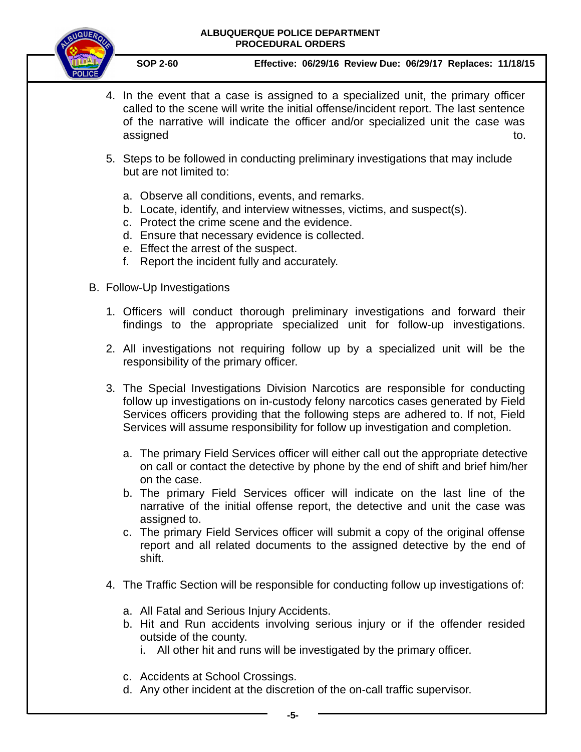#### **ALBUQUERQUE POLICE DEPARTMENT PROCEDURAL ORDERS**



**SOP 2-60 Effective: 06/29/16 Review Due: 06/29/17 Replaces: 11/18/15**

- 4. In the event that a case is assigned to a specialized unit, the primary officer called to the scene will write the initial offense/incident report. The last sentence of the narrative will indicate the officer and/or specialized unit the case was assigned to. The contract of the contract of the contract of the contract of the contract of the contract of the contract of the contract of the contract of the contract of the contract of the contract of the contract of t
- 5. Steps to be followed in conducting preliminary investigations that may include but are not limited to:
	- a. Observe all conditions, events, and remarks.
	- b. Locate, identify, and interview witnesses, victims, and suspect(s).
	- c. Protect the crime scene and the evidence.
	- d. Ensure that necessary evidence is collected.
	- e. Effect the arrest of the suspect.
	- f. Report the incident fully and accurately.
- B. Follow-Up Investigations
	- 1. Officers will conduct thorough preliminary investigations and forward their findings to the appropriate specialized unit for follow-up investigations.
	- 2. All investigations not requiring follow up by a specialized unit will be the responsibility of the primary officer.
	- 3. The Special Investigations Division Narcotics are responsible for conducting follow up investigations on in-custody felony narcotics cases generated by Field Services officers providing that the following steps are adhered to. If not, Field Services will assume responsibility for follow up investigation and completion.
		- a. The primary Field Services officer will either call out the appropriate detective on call or contact the detective by phone by the end of shift and brief him/her on the case.
		- b. The primary Field Services officer will indicate on the last line of the narrative of the initial offense report, the detective and unit the case was assigned to.
		- c. The primary Field Services officer will submit a copy of the original offense report and all related documents to the assigned detective by the end of shift.
	- 4. The Traffic Section will be responsible for conducting follow up investigations of:
		- a. All Fatal and Serious Injury Accidents.
		- b. Hit and Run accidents involving serious injury or if the offender resided outside of the county.
			- i. All other hit and runs will be investigated by the primary officer.
		- c. Accidents at School Crossings.
		- d. Any other incident at the discretion of the on-call traffic supervisor.